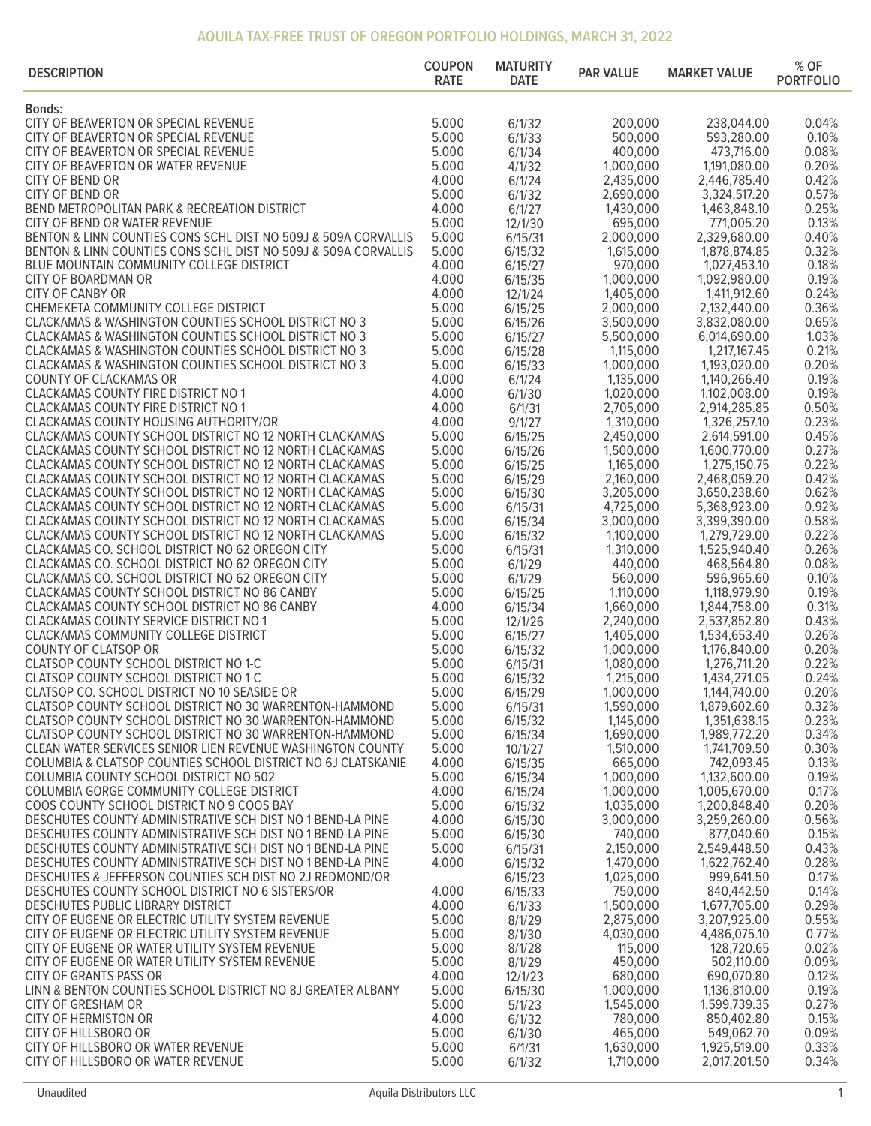| <b>DESCRIPTION</b>                                                                                                       | <b>COUPON</b><br><b>RATE</b> | <b>MATURITY</b><br><b>DATE</b> | <b>PAR VALUE</b>       | <b>MARKET VALUE</b>          | % OF<br><b>PORTFOLIO</b> |
|--------------------------------------------------------------------------------------------------------------------------|------------------------------|--------------------------------|------------------------|------------------------------|--------------------------|
| <b>Bonds:</b>                                                                                                            |                              |                                |                        |                              |                          |
| CITY OF BEAVERTON OR SPECIAL REVENUE                                                                                     | 5.000                        | 6/1/32                         | 200,000                | 238,044.00                   | 0.04%                    |
| CITY OF BEAVERTON OR SPECIAL REVENUE                                                                                     | 5.000                        | 6/1/33                         | 500,000                | 593,280.00                   | 0.10%                    |
| CITY OF BEAVERTON OR SPECIAL REVENUE                                                                                     | 5.000                        | 6/1/34                         | 400,000                | 473,716.00                   | 0.08%                    |
| CITY OF BEAVERTON OR WATER REVENUE                                                                                       | 5.000                        | 4/1/32                         | 1,000,000              | 1,191,080.00                 | 0.20%                    |
| CITY OF BEND OR                                                                                                          | 4.000                        | 6/1/24                         | 2,435,000              | 2,446,785.40                 | 0.42%                    |
| CITY OF BEND OR                                                                                                          | 5.000<br>4.000               | 6/1/32                         | 2,690,000<br>1,430,000 | 3,324,517.20<br>1,463,848.10 | 0.57%<br>0.25%           |
| BEND METROPOLITAN PARK & RECREATION DISTRICT<br>CITY OF BEND OR WATER REVENUE                                            | 5.000                        | 6/1/27<br>12/1/30              | 695,000                | 771,005.20                   | 0.13%                    |
| BENTON & LINN COUNTIES CONS SCHL DIST NO 509J & 509A CORVALLIS                                                           | 5.000                        | 6/15/31                        | 2,000,000              | 2,329,680.00                 | 0.40%                    |
| BENTON & LINN COUNTIES CONS SCHL DIST NO 509J & 509A CORVALLIS                                                           | 5.000                        | 6/15/32                        | 1,615,000              | 1,878,874.85                 | 0.32%                    |
| BLUE MOUNTAIN COMMUNITY COLLEGE DISTRICT                                                                                 | 4.000                        | 6/15/27                        | 970,000                | 1,027,453.10                 | 0.18%                    |
| CITY OF BOARDMAN OR                                                                                                      | 4.000                        | 6/15/35                        | 1,000,000              | 1,092,980.00                 | 0.19%                    |
| <b>CITY OF CANBY OR</b>                                                                                                  | 4.000                        | 12/1/24                        | 1,405,000              | 1,411,912.60                 | 0.24%                    |
| CHEMEKETA COMMUNITY COLLEGE DISTRICT                                                                                     | 5.000                        | 6/15/25                        | 2,000,000              | 2,132,440.00                 | 0.36%                    |
| CLACKAMAS & WASHINGTON COUNTIES SCHOOL DISTRICT NO 3                                                                     | 5.000                        | 6/15/26                        | 3,500,000              | 3,832,080.00                 | 0.65%                    |
| CLACKAMAS & WASHINGTON COUNTIES SCHOOL DISTRICT NO 3                                                                     | 5.000                        | 6/15/27                        | 5,500,000              | 6,014,690.00                 | 1.03%                    |
| CLACKAMAS & WASHINGTON COUNTIES SCHOOL DISTRICT NO 3<br>CLACKAMAS & WASHINGTON COUNTIES SCHOOL DISTRICT NO 3             | 5.000<br>5.000               | 6/15/28<br>6/15/33             | 1,115,000<br>1,000,000 | 1,217,167.45<br>1,193,020.00 | 0.21%<br>0.20%           |
| COUNTY OF CLACKAMAS OR                                                                                                   | 4.000                        | 6/1/24                         | 1,135,000              | 1,140,266.40                 | 0.19%                    |
| <b>CLACKAMAS COUNTY FIRE DISTRICT NO 1</b>                                                                               | 4.000                        | 6/1/30                         | 1,020,000              | 1,102,008.00                 | 0.19%                    |
| <b>CLACKAMAS COUNTY FIRE DISTRICT NO 1</b>                                                                               | 4.000                        | 6/1/31                         | 2,705,000              | 2,914,285.85                 | 0.50%                    |
| CLACKAMAS COUNTY HOUSING AUTHORITY/OR                                                                                    | 4.000                        | 9/1/27                         | 1,310,000              | 1,326,257.10                 | 0.23%                    |
| CLACKAMAS COUNTY SCHOOL DISTRICT NO 12 NORTH CLACKAMAS                                                                   | 5.000                        | 6/15/25                        | 2,450,000              | 2,614,591.00                 | 0.45%                    |
| CLACKAMAS COUNTY SCHOOL DISTRICT NO 12 NORTH CLACKAMAS                                                                   | 5.000                        | 6/15/26                        | 1,500,000              | 1,600,770.00                 | 0.27%                    |
| CLACKAMAS COUNTY SCHOOL DISTRICT NO 12 NORTH CLACKAMAS                                                                   | 5.000                        | 6/15/25                        | 1,165,000              | 1,275,150.75                 | 0.22%                    |
| CLACKAMAS COUNTY SCHOOL DISTRICT NO 12 NORTH CLACKAMAS                                                                   | 5.000                        | 6/15/29                        | 2,160,000              | 2,468,059.20                 | 0.42%                    |
| CLACKAMAS COUNTY SCHOOL DISTRICT NO 12 NORTH CLACKAMAS                                                                   | 5.000                        | 6/15/30                        | 3,205,000              | 3,650,238.60                 | 0.62%                    |
| CLACKAMAS COUNTY SCHOOL DISTRICT NO 12 NORTH CLACKAMAS                                                                   | 5.000                        | 6/15/31                        | 4,725,000              | 5,368,923.00                 | 0.92%                    |
| CLACKAMAS COUNTY SCHOOL DISTRICT NO 12 NORTH CLACKAMAS<br>CLACKAMAS COUNTY SCHOOL DISTRICT NO 12 NORTH CLACKAMAS         | 5.000<br>5.000               | 6/15/34                        | 3,000,000<br>1,100,000 | 3,399,390.00<br>1,279,729.00 | 0.58%<br>0.22%           |
| CLACKAMAS CO. SCHOOL DISTRICT NO 62 OREGON CITY                                                                          | 5.000                        | 6/15/32<br>6/15/31             | 1,310,000              | 1,525,940.40                 | 0.26%                    |
| CLACKAMAS CO. SCHOOL DISTRICT NO 62 OREGON CITY                                                                          | 5.000                        | 6/1/29                         | 440,000                | 468,564.80                   | 0.08%                    |
| CLACKAMAS CO. SCHOOL DISTRICT NO 62 OREGON CITY                                                                          | 5.000                        | 6/1/29                         | 560,000                | 596,965.60                   | 0.10%                    |
| CLACKAMAS COUNTY SCHOOL DISTRICT NO 86 CANBY                                                                             | 5.000                        | 6/15/25                        | 1,110,000              | 1,118,979.90                 | 0.19%                    |
| CLACKAMAS COUNTY SCHOOL DISTRICT NO 86 CANBY                                                                             | 4.000                        | 6/15/34                        | 1,660,000              | 1,844,758.00                 | 0.31%                    |
| CLACKAMAS COUNTY SERVICE DISTRICT NO 1                                                                                   | 5.000                        | 12/1/26                        | 2,240,000              | 2,537,852.80                 | 0.43%                    |
| CLACKAMAS COMMUNITY COLLEGE DISTRICT                                                                                     | 5.000                        | 6/15/27                        | 1,405,000              | 1,534,653.40                 | 0.26%                    |
| COUNTY OF CLATSOP OR                                                                                                     | 5.000                        | 6/15/32                        | 1,000,000              | 1,176,840.00                 | 0.20%                    |
| CLATSOP COUNTY SCHOOL DISTRICT NO 1-C                                                                                    | 5.000                        | 6/15/31                        | 1,080,000              | 1,276,711.20                 | 0.22%                    |
| CLATSOP COUNTY SCHOOL DISTRICT NO 1-C<br>CLATSOP CO. SCHOOL DISTRICT NO 10 SEASIDE OR                                    | 5.000<br>5.000               | 6/15/32                        | 1,215,000<br>1,000,000 | 1,434,271.05<br>1,144,740.00 | 0.24%<br>0.20%           |
| CLATSOP COUNTY SCHOOL DISTRICT NO 30 WARRENTON-HAMMOND                                                                   | 5.000                        | 6/15/29<br>6/15/31             | 1,590,000              | 1,879,602.60                 | 0.32%                    |
| CLATSOP COUNTY SCHOOL DISTRICT NO 30 WARRENTON-HAMMOND                                                                   | 5.000                        | 6/15/32                        | 1,145,000              | 1,351,638.15                 | 0.23%                    |
| CLATSOP COUNTY SCHOOL DISTRICT NO 30 WARRENTON-HAMMOND                                                                   | 5.000                        | 6/15/34                        | 1,690,000              | 1,989,772.20                 | 0.34%                    |
| CLEAN WATER SERVICES SENIOR LIEN REVENUE WASHINGTON COUNTY                                                               | 5.000                        | 10/1/27                        | 1,510,000              | 1,741,709.50                 | 0.30%                    |
| COLUMBIA & CLATSOP COUNTIES SCHOOL DISTRICT NO 6J CLATSKANIE                                                             | 4.000                        | 6/15/35                        | 665,000                | 742,093.45                   | 0.13%                    |
| COLUMBIA COUNTY SCHOOL DISTRICT NO 502                                                                                   | 5.000                        | 6/15/34                        | 1,000,000              | 1,132,600.00                 | 0.19%                    |
| COLUMBIA GORGE COMMUNITY COLLEGE DISTRICT                                                                                | 4.000                        | 6/15/24                        | 1,000,000              | 1,005,670.00                 | 0.17%                    |
| COOS COUNTY SCHOOL DISTRICT NO 9 COOS BAY                                                                                | 5.000                        | 6/15/32                        | 1,035,000              | 1,200,848.40                 | 0.20%                    |
| DESCHUTES COUNTY ADMINISTRATIVE SCH DIST NO 1 BEND-LA PINE                                                               | 4.000                        | 6/15/30                        | 3,000,000              | 3,259,260.00                 | 0.56%                    |
| DESCHUTES COUNTY ADMINISTRATIVE SCH DIST NO 1 BEND-LA PINE<br>DESCHUTES COUNTY ADMINISTRATIVE SCH DIST NO 1 BEND-LA PINE | 5.000<br>5.000               | 6/15/30<br>6/15/31             | 740,000<br>2,150,000   | 877,040.60<br>2,549,448.50   | 0.15%<br>0.43%           |
| DESCHUTES COUNTY ADMINISTRATIVE SCH DIST NO 1 BEND-LA PINE                                                               | 4.000                        | 6/15/32                        | 1,470,000              | 1,622,762.40                 | 0.28%                    |
| DESCHUTES & JEFFERSON COUNTIES SCH DIST NO 2J REDMOND/OR                                                                 |                              | 6/15/23                        | 1,025,000              | 999,641.50                   | 0.17%                    |
| DESCHUTES COUNTY SCHOOL DISTRICT NO 6 SISTERS/OR                                                                         | 4.000                        | 6/15/33                        | 750,000                | 840,442.50                   | 0.14%                    |
| DESCHUTES PUBLIC LIBRARY DISTRICT                                                                                        | 4.000                        | 6/1/33                         | 1,500,000              | 1,677,705.00                 | 0.29%                    |
| CITY OF EUGENE OR ELECTRIC UTILITY SYSTEM REVENUE                                                                        | 5.000                        | 8/1/29                         | 2,875,000              | 3,207,925.00                 | 0.55%                    |
| CITY OF EUGENE OR ELECTRIC UTILITY SYSTEM REVENUE                                                                        | 5.000                        | 8/1/30                         | 4,030,000              | 4,486,075.10                 | 0.77%                    |
| CITY OF EUGENE OR WATER UTILITY SYSTEM REVENUE                                                                           | 5.000                        | 8/1/28                         | 115,000                | 128,720.65                   | 0.02%                    |
| CITY OF EUGENE OR WATER UTILITY SYSTEM REVENUE                                                                           | 5.000                        | 8/1/29                         | 450,000                | 502,110.00                   | 0.09%                    |
| CITY OF GRANTS PASS OR                                                                                                   | 4.000                        | 12/1/23                        | 680,000                | 690,070.80                   | 0.12%                    |
| LINN & BENTON COUNTIES SCHOOL DISTRICT NO 8J GREATER ALBANY<br><b>CITY OF GRESHAM OR</b>                                 | 5.000<br>5.000               | 6/15/30<br>5/1/23              | 1,000,000<br>1,545,000 | 1,136,810.00<br>1,599,739.35 | 0.19%<br>0.27%           |
| <b>CITY OF HERMISTON OR</b>                                                                                              | 4.000                        | 6/1/32                         | 780,000                | 850,402.80                   | 0.15%                    |
| CITY OF HILLSBORO OR                                                                                                     | 5.000                        | 6/1/30                         | 465,000                | 549,062.70                   | 0.09%                    |
| CITY OF HILLSBORO OR WATER REVENUE                                                                                       | 5.000                        | 6/1/31                         | 1,630,000              | 1,925,519.00                 | 0.33%                    |
| CITY OF HILLSBORO OR WATER REVENUE                                                                                       | 5.000                        | 6/1/32                         | 1,710,000              | 2,017,201.50                 | 0.34%                    |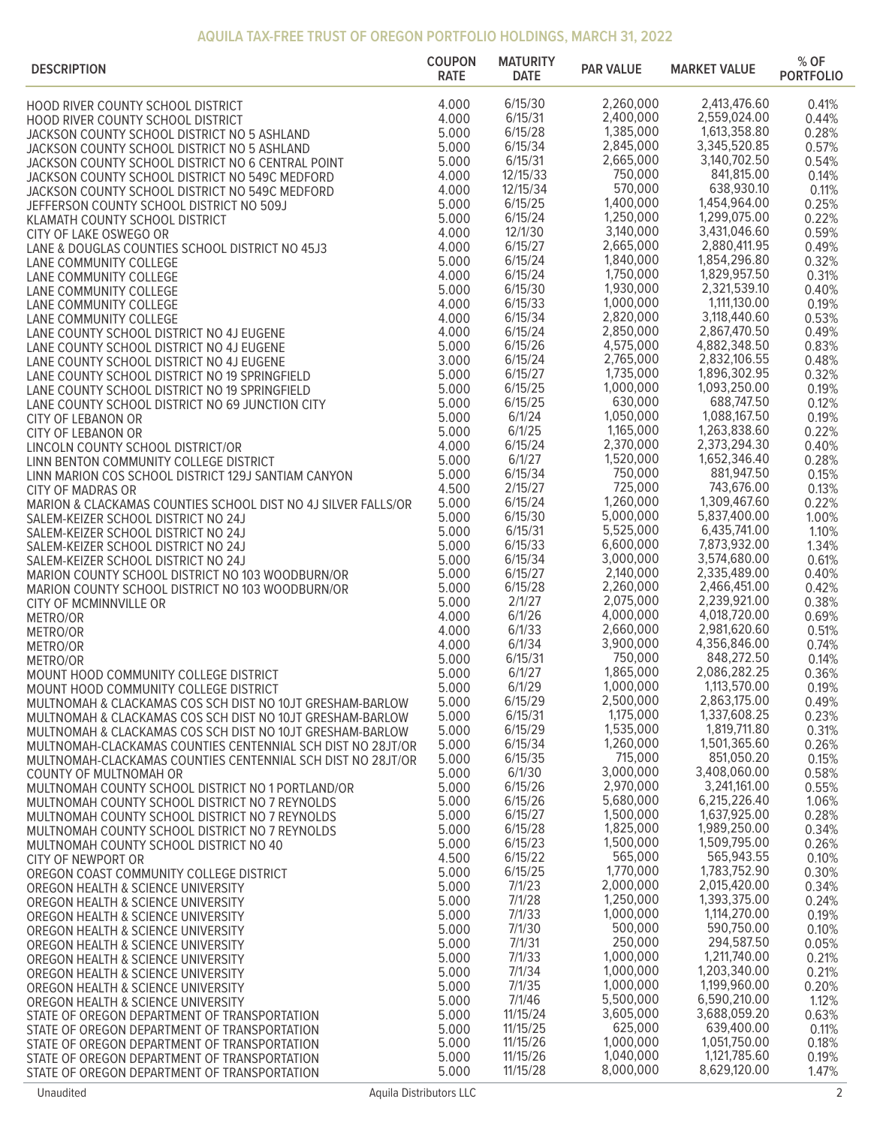| <b>DESCRIPTION</b>                                                                             | <b>COUPON</b><br><b>RATE</b> | <b>MATURITY</b><br><b>DATE</b> | <b>PAR VALUE</b>       | <b>MARKET VALUE</b>          | $%$ OF<br><b>PORTFOLIO</b> |
|------------------------------------------------------------------------------------------------|------------------------------|--------------------------------|------------------------|------------------------------|----------------------------|
| HOOD RIVER COUNTY SCHOOL DISTRICT                                                              | 4.000                        | 6/15/30                        | 2,260,000              | 2,413,476.60                 | 0.41%                      |
| HOOD RIVER COUNTY SCHOOL DISTRICT                                                              | 4.000                        | 6/15/31                        | 2,400,000              | 2,559,024.00                 | 0.44%                      |
| JACKSON COUNTY SCHOOL DISTRICT NO 5 ASHLAND                                                    | 5.000                        | 6/15/28                        | 1,385,000              | 1,613,358.80                 | 0.28%                      |
| JACKSON COUNTY SCHOOL DISTRICT NO 5 ASHLAND                                                    | 5.000                        | 6/15/34                        | 2,845,000              | 3,345,520.85                 | 0.57%                      |
| JACKSON COUNTY SCHOOL DISTRICT NO 6 CENTRAL POINT                                              | 5.000                        | 6/15/31                        | 2,665,000              | 3,140,702.50                 | 0.54%                      |
| JACKSON COUNTY SCHOOL DISTRICT NO 549C MEDFORD                                                 | 4.000                        | 12/15/33                       | 750,000                | 841,815.00                   | 0.14%                      |
| JACKSON COUNTY SCHOOL DISTRICT NO 549C MEDFORD                                                 | 4.000                        | 12/15/34                       | 570,000                | 638,930.10                   | 0.11%                      |
| JEFFERSON COUNTY SCHOOL DISTRICT NO 509J                                                       | 5.000                        | 6/15/25                        | 1,400,000<br>1,250,000 | 1,454,964.00<br>1,299,075.00 | 0.25%                      |
| KLAMATH COUNTY SCHOOL DISTRICT                                                                 | 5.000<br>4.000               | 6/15/24<br>12/1/30             | 3,140,000              | 3,431,046.60                 | 0.22%<br>0.59%             |
| CITY OF LAKE OSWEGO OR<br>LANE & DOUGLAS COUNTIES SCHOOL DISTRICT NO 45J3                      | 4.000                        | 6/15/27                        | 2,665,000              | 2,880,411.95                 | 0.49%                      |
| LANE COMMUNITY COLLEGE                                                                         | 5.000                        | 6/15/24                        | 1,840,000              | 1,854,296.80                 | 0.32%                      |
| LANE COMMUNITY COLLEGE                                                                         | 4.000                        | 6/15/24                        | 1,750,000              | 1,829,957.50                 | 0.31%                      |
| LANE COMMUNITY COLLEGE                                                                         | 5.000                        | 6/15/30                        | 1,930,000              | 2,321,539.10                 | 0.40%                      |
| LANE COMMUNITY COLLEGE                                                                         | 4.000                        | 6/15/33                        | 1,000,000              | 1,111,130.00                 | 0.19%                      |
| LANE COMMUNITY COLLEGE                                                                         | 4.000                        | 6/15/34                        | 2,820,000              | 3,118,440.60                 | 0.53%                      |
| LANE COUNTY SCHOOL DISTRICT NO 4J EUGENE                                                       | 4.000                        | 6/15/24                        | 2,850,000              | 2,867,470.50                 | 0.49%                      |
| LANE COUNTY SCHOOL DISTRICT NO 4J EUGENE                                                       | 5.000<br>3.000               | 6/15/26<br>6/15/24             | 4,575,000<br>2,765,000 | 4,882,348.50<br>2,832,106.55 | 0.83%<br>0.48%             |
| LANE COUNTY SCHOOL DISTRICT NO 4J EUGENE                                                       | 5.000                        | 6/15/27                        | 1,735,000              | 1,896,302.95                 | 0.32%                      |
| LANE COUNTY SCHOOL DISTRICT NO 19 SPRINGFIELD<br>LANE COUNTY SCHOOL DISTRICT NO 19 SPRINGFIELD | 5.000                        | 6/15/25                        | 1,000,000              | 1,093,250.00                 | 0.19%                      |
| LANE COUNTY SCHOOL DISTRICT NO 69 JUNCTION CITY                                                | 5.000                        | 6/15/25                        | 630,000                | 688,747.50                   | 0.12%                      |
| <b>CITY OF LEBANON OR</b>                                                                      | 5.000                        | 6/1/24                         | 1,050,000              | 1,088,167.50                 | 0.19%                      |
| <b>CITY OF LEBANON OR</b>                                                                      | 5.000                        | 6/1/25                         | 1,165,000              | 1,263,838.60                 | 0.22%                      |
| LINCOLN COUNTY SCHOOL DISTRICT/OR                                                              | 4.000                        | 6/15/24                        | 2,370,000              | 2,373,294.30                 | 0.40%                      |
| LINN BENTON COMMUNITY COLLEGE DISTRICT                                                         | 5.000                        | 6/1/27                         | 1,520,000              | 1,652,346.40                 | 0.28%                      |
| LINN MARION COS SCHOOL DISTRICT 129J SANTIAM CANYON                                            | 5.000                        | 6/15/34                        | 750,000                | 881,947.50                   | 0.15%                      |
| <b>CITY OF MADRAS OR</b>                                                                       | 4.500                        | 2/15/27                        | 725,000<br>1,260,000   | 743,676.00<br>1,309,467.60   | 0.13%                      |
| MARION & CLACKAMAS COUNTIES SCHOOL DIST NO 4J SILVER FALLS/OR                                  | 5.000<br>5.000               | 6/15/24<br>6/15/30             | 5,000,000              | 5,837,400.00                 | 0.22%<br>1.00%             |
| SALEM-KEIZER SCHOOL DISTRICT NO 24J<br>SALEM-KEIZER SCHOOL DISTRICT NO 24J                     | 5.000                        | 6/15/31                        | 5,525,000              | 6,435,741.00                 | 1.10%                      |
| SALEM-KEIZER SCHOOL DISTRICT NO 24J                                                            | 5.000                        | 6/15/33                        | 6,600,000              | 7,873,932.00                 | 1.34%                      |
| SALEM-KEIZER SCHOOL DISTRICT NO 24J                                                            | 5.000                        | 6/15/34                        | 3,000,000              | 3,574,680.00                 | 0.61%                      |
| MARION COUNTY SCHOOL DISTRICT NO 103 WOODBURN/OR                                               | 5.000                        | 6/15/27                        | 2,140,000              | 2,335,489.00                 | 0.40%                      |
| MARION COUNTY SCHOOL DISTRICT NO 103 WOODBURN/OR                                               | 5.000                        | 6/15/28                        | 2,260,000              | 2,466,451.00                 | 0.42%                      |
| CITY OF MCMINNVILLE OR                                                                         | 5.000                        | 2/1/27                         | 2,075,000              | 2,239,921.00                 | 0.38%                      |
| METRO/OR                                                                                       | 4.000                        | 6/1/26                         | 4,000,000              | 4,018,720.00                 | 0.69%                      |
| METRO/OR                                                                                       | 4.000<br>4.000               | 6/1/33<br>6/1/34               | 2,660,000<br>3,900,000 | 2,981,620.60<br>4,356,846.00 | 0.51%<br>0.74%             |
| METRO/OR<br>METRO/OR                                                                           | 5.000                        | 6/15/31                        | 750,000                | 848,272.50                   | 0.14%                      |
| MOUNT HOOD COMMUNITY COLLEGE DISTRICT                                                          | 5.000                        | 6/1/27                         | 1,865,000              | 2,086,282.25                 | 0.36%                      |
| MOUNT HOOD COMMUNITY COLLEGE DISTRICT                                                          | 5.000                        | 6/1/29                         | 1,000,000              | 1,113,570.00                 | 0.19%                      |
| MULTNOMAH & CLACKAMAS COS SCH DIST NO 10JT GRESHAM-BARLOW                                      | 5.000                        | 6/15/29                        | 2,500,000              | 2,863,175.00                 | 0.49%                      |
| MULTNOMAH & CLACKAMAS COS SCH DIST NO 10JT GRESHAM-BARLOW                                      | 5.000                        | 6/15/31                        | 1,175,000              | 1,337,608.25                 | 0.23%                      |
| MULTNOMAH & CLACKAMAS COS SCH DIST NO 10JT GRESHAM-BARLOW                                      | 5.000                        | 6/15/29                        | 1,535,000              | 1,819,711.80                 | 0.31%                      |
| MULTNOMAH-CLACKAMAS COUNTIES CENTENNIAL SCH DIST NO 28JT/OR                                    | 5.000                        | 6/15/34                        | 1,260,000<br>715,000   | 1,501,365.60<br>851,050.20   | 0.26%                      |
| MULTNOMAH-CLACKAMAS COUNTIES CENTENNIAL SCH DIST NO 28JT/OR                                    | 5.000<br>5.000               | 6/15/35<br>6/1/30              | 3,000,000              | 3,408,060.00                 | 0.15%<br>0.58%             |
| COUNTY OF MULTNOMAH OR<br>MULTNOMAH COUNTY SCHOOL DISTRICT NO 1 PORTLAND/OR                    | 5.000                        | 6/15/26                        | 2,970,000              | 3,241,161.00                 | 0.55%                      |
| MULTNOMAH COUNTY SCHOOL DISTRICT NO 7 REYNOLDS                                                 | 5.000                        | 6/15/26                        | 5,680,000              | 6,215,226.40                 | 1.06%                      |
| MULTNOMAH COUNTY SCHOOL DISTRICT NO 7 REYNOLDS                                                 | 5.000                        | 6/15/27                        | 1,500,000              | 1,637,925.00                 | 0.28%                      |
| MULTNOMAH COUNTY SCHOOL DISTRICT NO 7 REYNOLDS                                                 | 5.000                        | 6/15/28                        | 1,825,000              | 1,989,250.00                 | 0.34%                      |
| MULTNOMAH COUNTY SCHOOL DISTRICT NO 40                                                         | 5.000                        | 6/15/23                        | 1,500,000              | 1,509,795.00                 | 0.26%                      |
| <b>CITY OF NEWPORT OR</b>                                                                      | 4.500                        | 6/15/22                        | 565,000                | 565,943.55                   | 0.10%                      |
| OREGON COAST COMMUNITY COLLEGE DISTRICT                                                        | 5.000                        | 6/15/25                        | 1,770,000<br>2,000,000 | 1,783,752.90<br>2,015,420.00 | 0.30%                      |
| OREGON HEALTH & SCIENCE UNIVERSITY                                                             | 5.000<br>5.000               | 7/1/23<br>7/1/28               | 1,250,000              | 1,393,375.00                 | 0.34%<br>0.24%             |
| OREGON HEALTH & SCIENCE UNIVERSITY<br>OREGON HEALTH & SCIENCE UNIVERSITY                       | 5.000                        | 7/1/33                         | 1,000,000              | 1,114,270.00                 | 0.19%                      |
| OREGON HEALTH & SCIENCE UNIVERSITY                                                             | 5.000                        | 7/1/30                         | 500,000                | 590,750.00                   | 0.10%                      |
| OREGON HEALTH & SCIENCE UNIVERSITY                                                             | 5.000                        | 7/1/31                         | 250,000                | 294,587.50                   | 0.05%                      |
| OREGON HEALTH & SCIENCE UNIVERSITY                                                             | 5.000                        | 7/1/33                         | 1,000,000              | 1,211,740.00                 | 0.21%                      |
| OREGON HEALTH & SCIENCE UNIVERSITY                                                             | 5.000                        | 7/1/34                         | 1,000,000              | 1,203,340.00                 | 0.21%                      |
| OREGON HEALTH & SCIENCE UNIVERSITY                                                             | 5.000                        | 7/1/35                         | 1,000,000              | 1,199,960.00                 | 0.20%                      |
| OREGON HEALTH & SCIENCE UNIVERSITY                                                             | 5.000                        | 7/1/46                         | 5,500,000              | 6,590,210.00                 | 1.12%                      |
| STATE OF OREGON DEPARTMENT OF TRANSPORTATION                                                   | 5.000<br>5.000               | 11/15/24<br>11/15/25           | 3,605,000<br>625,000   | 3,688,059.20<br>639,400.00   | 0.63%<br>0.11%             |
| STATE OF OREGON DEPARTMENT OF TRANSPORTATION<br>STATE OF OREGON DEPARTMENT OF TRANSPORTATION   | 5.000                        | 11/15/26                       | 1,000,000              | 1,051,750.00                 | 0.18%                      |
| STATE OF OREGON DEPARTMENT OF TRANSPORTATION                                                   | 5.000                        | 11/15/26                       | 1,040,000              | 1,121,785.60                 | 0.19%                      |
| STATE OF OREGON DEPARTMENT OF TRANSPORTATION                                                   | 5.000                        | 11/15/28                       | 8,000,000              | 8,629,120.00                 | 1.47%                      |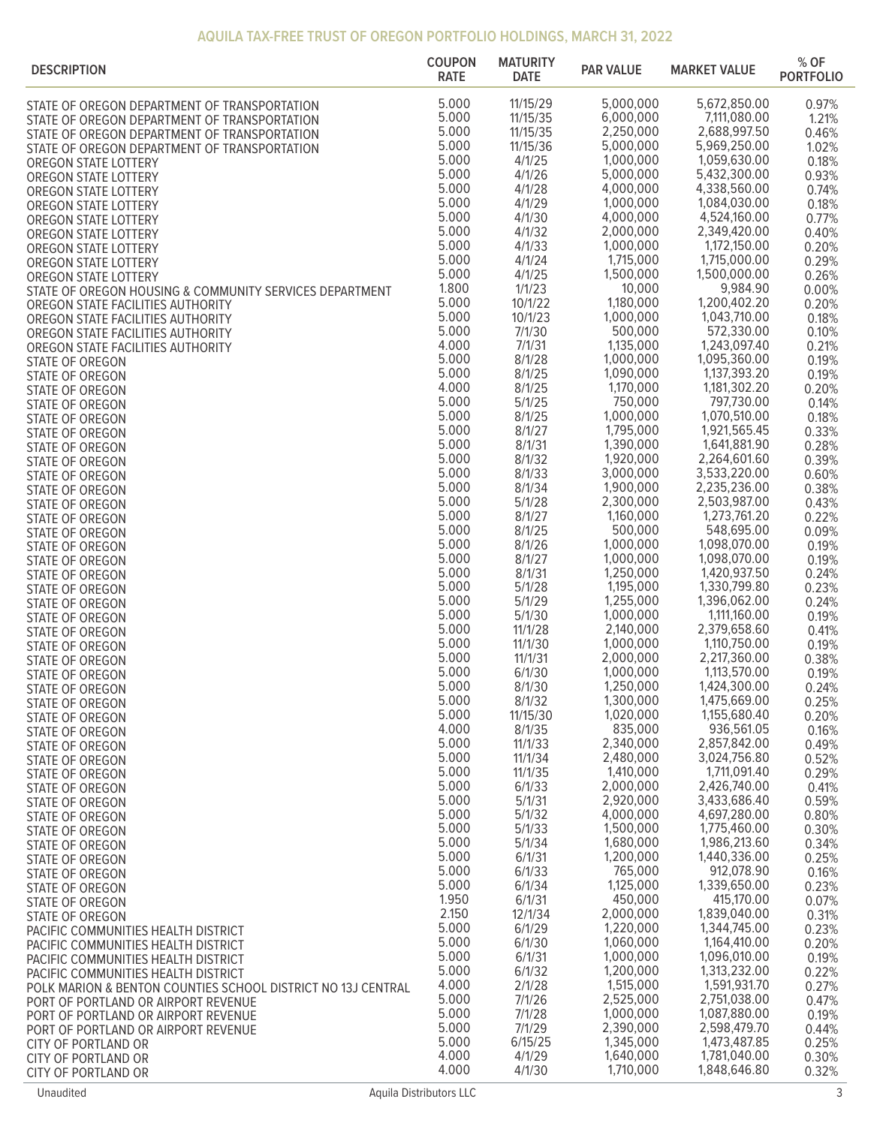| <b>DESCRIPTION</b>                                                                                  | <b>COUPON</b><br><b>RATE</b> | <b>MATURITY</b><br><b>DATE</b> | <b>PAR VALUE</b>       | <b>MARKET VALUE</b>          | % OF<br><b>PORTFOLIO</b> |
|-----------------------------------------------------------------------------------------------------|------------------------------|--------------------------------|------------------------|------------------------------|--------------------------|
| STATE OF OREGON DEPARTMENT OF TRANSPORTATION                                                        | 5.000                        | 11/15/29                       | 5,000,000              | 5,672,850.00                 | 0.97%                    |
| STATE OF OREGON DEPARTMENT OF TRANSPORTATION                                                        | 5.000                        | 11/15/35                       | 6,000,000              | 7,111,080.00                 | 1.21%                    |
| STATE OF OREGON DEPARTMENT OF TRANSPORTATION                                                        | 5.000                        | 11/15/35                       | 2,250,000              | 2,688,997.50                 | 0.46%                    |
| STATE OF OREGON DEPARTMENT OF TRANSPORTATION                                                        | 5.000<br>5.000               | 11/15/36<br>4/1/25             | 5,000,000<br>1,000,000 | 5,969,250.00<br>1,059,630.00 | 1.02%                    |
| OREGON STATE LOTTERY<br>OREGON STATE LOTTERY                                                        | 5.000                        | 4/1/26                         | 5,000,000              | 5,432,300.00                 | 0.18%<br>0.93%           |
| OREGON STATE LOTTERY                                                                                | 5.000                        | 4/1/28                         | 4,000,000              | 4,338,560.00                 | 0.74%                    |
| OREGON STATE LOTTERY                                                                                | 5.000                        | 4/1/29                         | 1,000,000              | 1,084,030.00                 | 0.18%                    |
| OREGON STATE LOTTERY                                                                                | 5.000                        | 4/1/30                         | 4,000,000              | 4,524,160.00                 | 0.77%                    |
| OREGON STATE LOTTERY                                                                                | 5.000<br>5.000               | 4/1/32                         | 2,000,000<br>1,000,000 | 2,349,420.00<br>1,172,150.00 | 0.40%                    |
| OREGON STATE LOTTERY<br>OREGON STATE LOTTERY                                                        | 5.000                        | 4/1/33<br>4/1/24               | 1,715,000              | 1,715,000.00                 | 0.20%<br>0.29%           |
| OREGON STATE LOTTERY                                                                                | 5.000                        | 4/1/25                         | 1,500,000              | 1,500,000.00                 | 0.26%                    |
| STATE OF OREGON HOUSING & COMMUNITY SERVICES DEPARTMENT                                             | 1.800                        | 1/1/23                         | 10,000                 | 9,984.90                     | 0.00%                    |
| OREGON STATE FACILITIES AUTHORITY                                                                   | 5.000                        | 10/1/22                        | 1,180,000              | 1,200,402.20                 | 0.20%                    |
| OREGON STATE FACILITIES AUTHORITY                                                                   | 5.000<br>5.000               | 10/1/23                        | 1,000,000<br>500,000   | 1,043,710.00<br>572,330.00   | 0.18%                    |
| OREGON STATE FACILITIES AUTHORITY<br>OREGON STATE FACILITIES AUTHORITY                              | 4.000                        | 7/1/30<br>7/1/31               | 1,135,000              | 1,243,097.40                 | 0.10%<br>0.21%           |
| STATE OF OREGON                                                                                     | 5.000                        | 8/1/28                         | 1,000,000              | 1,095,360.00                 | 0.19%                    |
| STATE OF OREGON                                                                                     | 5.000                        | 8/1/25                         | 1,090,000              | 1,137,393.20                 | 0.19%                    |
| STATE OF OREGON                                                                                     | 4.000                        | 8/1/25                         | 1,170,000              | 1,181,302.20                 | 0.20%                    |
| STATE OF OREGON                                                                                     | 5.000                        | 5/1/25                         | 750,000                | 797,730.00                   | 0.14%                    |
| STATE OF OREGON                                                                                     | 5.000<br>5.000               | 8/1/25<br>8/1/27               | 1,000,000<br>1,795,000 | 1,070,510.00<br>1,921,565.45 | 0.18%<br>0.33%           |
| STATE OF OREGON<br>STATE OF OREGON                                                                  | 5.000                        | 8/1/31                         | 1,390,000              | 1,641,881.90                 | 0.28%                    |
| STATE OF OREGON                                                                                     | 5.000                        | 8/1/32                         | 1,920,000              | 2,264,601.60                 | 0.39%                    |
| STATE OF OREGON                                                                                     | 5.000                        | 8/1/33                         | 3,000,000              | 3,533,220.00                 | 0.60%                    |
| STATE OF OREGON                                                                                     | 5.000                        | 8/1/34                         | 1,900,000              | 2,235,236.00                 | 0.38%                    |
| STATE OF OREGON                                                                                     | 5.000<br>5.000               | 5/1/28<br>8/1/27               | 2,300,000<br>1,160,000 | 2,503,987.00<br>1,273,761.20 | 0.43%<br>0.22%           |
| STATE OF OREGON<br>STATE OF OREGON                                                                  | 5.000                        | 8/1/25                         | 500,000                | 548,695.00                   | 0.09%                    |
| STATE OF OREGON                                                                                     | 5.000                        | 8/1/26                         | 1,000,000              | 1,098,070.00                 | 0.19%                    |
| STATE OF OREGON                                                                                     | 5.000                        | 8/1/27                         | 1,000,000              | 1,098,070.00                 | 0.19%                    |
| STATE OF OREGON                                                                                     | 5.000<br>5.000               | 8/1/31<br>5/1/28               | 1,250,000<br>1,195,000 | 1,420,937.50<br>1,330,799.80 | 0.24%<br>0.23%           |
| STATE OF OREGON<br>STATE OF OREGON                                                                  | 5.000                        | 5/1/29                         | 1,255,000              | 1,396,062.00                 | 0.24%                    |
| STATE OF OREGON                                                                                     | 5.000                        | 5/1/30                         | 1,000,000              | 1,111,160.00                 | 0.19%                    |
| STATE OF OREGON                                                                                     | 5.000                        | 11/1/28                        | 2,140,000              | 2,379,658.60                 | 0.41%                    |
| STATE OF OREGON                                                                                     | 5.000<br>5.000               | 11/1/30                        | 1,000,000<br>2,000,000 | 1,110,750.00                 | 0.19%                    |
| STATE OF OREGON                                                                                     | 5.000                        | 11/1/31<br>6/1/30              | 1.000.000              | 2,217,360.00<br>1,113,570.00 | 0.38%<br>0.19%           |
| STATE OF OREGON<br>STATE OF OREGON                                                                  | 5.000                        | 8/1/30                         | 1,250,000              | 1,424,300.00                 | 0.24%                    |
| STATE OF OREGON                                                                                     | 5.000                        | 8/1/32                         | 1,300,000              | 1,475,669.00                 | 0.25%                    |
| STATE OF OREGON                                                                                     | 5.000                        | 11/15/30                       | 1,020,000              | 1,155,680.40                 | 0.20%                    |
| STATE OF OREGON                                                                                     | 4.000<br>5.000               | 8/1/35<br>11/1/33              | 835,000<br>2,340,000   | 936,561.05<br>2,857,842.00   | 0.16%                    |
| STATE OF OREGON<br>STATE OF OREGON                                                                  | 5.000                        | 11/1/34                        | 2,480,000              | 3,024,756.80                 | 0.49%<br>0.52%           |
| STATE OF OREGON                                                                                     | 5.000                        | 11/1/35                        | 1,410,000              | 1,711,091.40                 | 0.29%                    |
| STATE OF OREGON                                                                                     | 5.000                        | 6/1/33                         | 2,000,000              | 2,426,740.00                 | 0.41%                    |
| STATE OF OREGON                                                                                     | 5.000                        | 5/1/31                         | 2,920,000              | 3,433,686.40                 | 0.59%                    |
| STATE OF OREGON                                                                                     | 5.000<br>5.000               | 5/1/32<br>5/1/33               | 4,000,000<br>1,500,000 | 4,697,280.00<br>1,775,460.00 | 0.80%<br>0.30%           |
| STATE OF OREGON<br>STATE OF OREGON                                                                  | 5.000                        | 5/1/34                         | 1,680,000              | 1,986,213.60                 | 0.34%                    |
| STATE OF OREGON                                                                                     | 5.000                        | 6/1/31                         | 1,200,000              | 1,440,336.00                 | 0.25%                    |
| STATE OF OREGON                                                                                     | 5.000                        | 6/1/33                         | 765,000                | 912,078.90                   | 0.16%                    |
| STATE OF OREGON                                                                                     | 5.000<br>1.950               | 6/1/34<br>6/1/31               | 1,125,000<br>450,000   | 1,339,650.00<br>415,170.00   | 0.23%                    |
| STATE OF OREGON<br>STATE OF OREGON                                                                  | 2.150                        | 12/1/34                        | 2,000,000              | 1,839,040.00                 | 0.07%<br>0.31%           |
| PACIFIC COMMUNITIES HEALTH DISTRICT                                                                 | 5.000                        | 6/1/29                         | 1,220,000              | 1,344,745.00                 | 0.23%                    |
| PACIFIC COMMUNITIES HEALTH DISTRICT                                                                 | 5.000                        | 6/1/30                         | 1,060,000              | 1,164,410.00                 | 0.20%                    |
| PACIFIC COMMUNITIES HEALTH DISTRICT                                                                 | 5.000                        | 6/1/31                         | 1,000,000              | 1,096,010.00                 | 0.19%                    |
| PACIFIC COMMUNITIES HEALTH DISTRICT                                                                 | 5.000<br>4.000               | 6/1/32<br>2/1/28               | 1,200,000<br>1,515,000 | 1,313,232.00<br>1,591,931.70 | 0.22%<br>0.27%           |
| POLK MARION & BENTON COUNTIES SCHOOL DISTRICT NO 13J CENTRAL<br>PORT OF PORTLAND OR AIRPORT REVENUE | 5.000                        | 7/1/26                         | 2,525,000              | 2,751,038.00                 | 0.47%                    |
| PORT OF PORTLAND OR AIRPORT REVENUE                                                                 | 5.000                        | 7/1/28                         | 1,000,000              | 1,087,880.00                 | 0.19%                    |
| PORT OF PORTLAND OR AIRPORT REVENUE                                                                 | 5.000                        | 7/1/29                         | 2,390,000              | 2,598,479.70                 | 0.44%                    |
| CITY OF PORTLAND OR                                                                                 | 5.000<br>4.000               | 6/15/25<br>4/1/29              | 1,345,000<br>1,640,000 | 1,473,487.85<br>1,781,040.00 | 0.25%<br>0.30%           |
| <b>CITY OF PORTLAND OR</b><br>CITY OF PORTLAND OR                                                   | 4.000                        | 4/1/30                         | 1,710,000              | 1,848,646.80                 | 0.32%                    |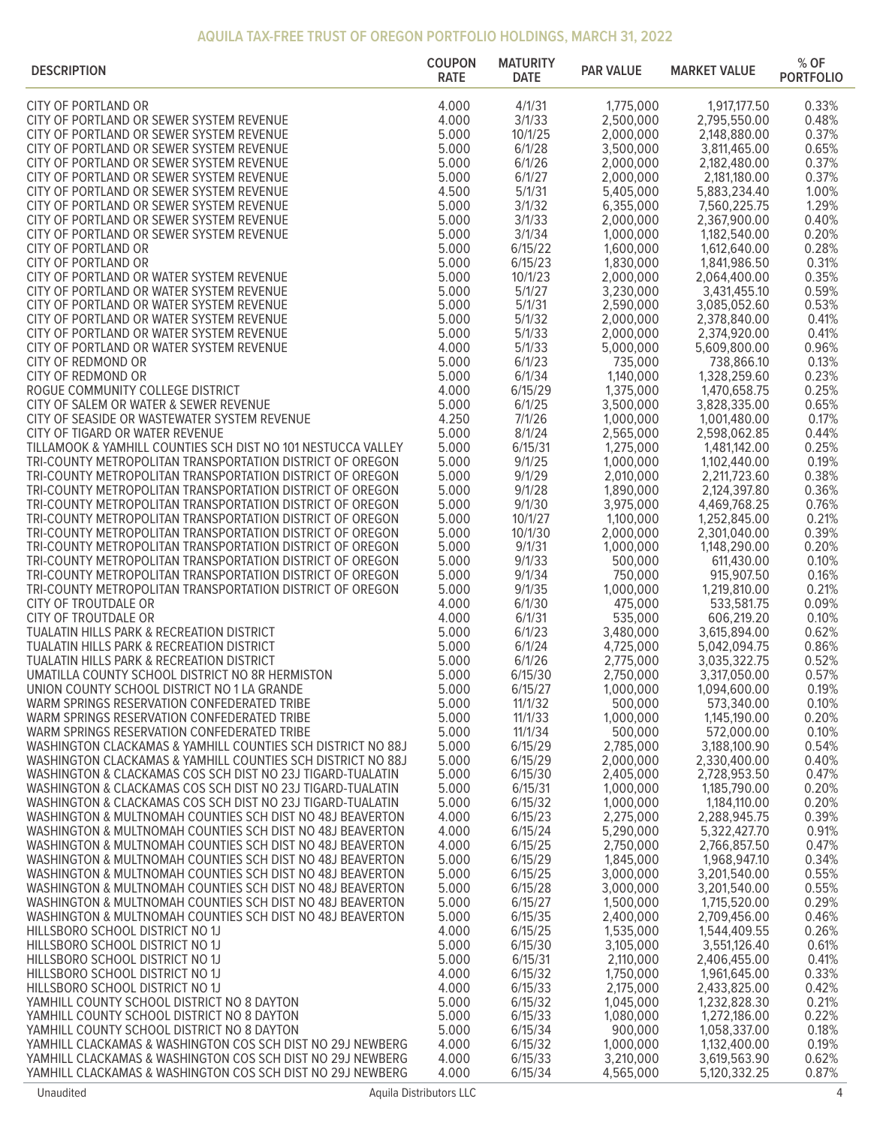| <b>DESCRIPTION</b>                                                                                                        | <b>COUPON</b><br><b>RATE</b> | <b>MATURITY</b><br><b>DATE</b> | <b>PAR VALUE</b>       | <b>MARKET VALUE</b>          | % OF<br><b>PORTFOLIO</b> |
|---------------------------------------------------------------------------------------------------------------------------|------------------------------|--------------------------------|------------------------|------------------------------|--------------------------|
| <b>CITY OF PORTLAND OR</b>                                                                                                | 4.000                        | 4/1/31                         | 1,775,000              | 1,917,177.50                 | 0.33%                    |
| CITY OF PORTLAND OR SEWER SYSTEM REVENUE                                                                                  | 4.000                        | 3/1/33                         | 2,500,000              | 2,795,550.00                 | 0.48%                    |
| CITY OF PORTLAND OR SEWER SYSTEM REVENUE                                                                                  | 5.000                        | 10/1/25                        | 2,000,000              | 2,148,880.00                 | 0.37%                    |
| CITY OF PORTLAND OR SEWER SYSTEM REVENUE                                                                                  | 5.000                        | 6/1/28                         | 3,500,000              | 3,811,465.00                 | 0.65%                    |
| CITY OF PORTLAND OR SEWER SYSTEM REVENUE                                                                                  | 5.000                        | 6/1/26                         | 2,000,000              | 2,182,480.00                 | 0.37%                    |
| CITY OF PORTLAND OR SEWER SYSTEM REVENUE                                                                                  | 5.000                        | 6/1/27                         | 2,000,000              | 2,181,180.00                 | 0.37%                    |
| CITY OF PORTLAND OR SEWER SYSTEM REVENUE                                                                                  | 4.500                        | 5/1/31                         | 5,405,000              | 5,883,234.40                 | 1.00%                    |
| CITY OF PORTLAND OR SEWER SYSTEM REVENUE                                                                                  | 5.000                        | 3/1/32                         | 6,355,000              | 7,560,225.75                 | 1.29%                    |
| CITY OF PORTLAND OR SEWER SYSTEM REVENUE                                                                                  | 5.000                        | 3/1/33                         | 2,000,000              | 2,367,900.00                 | 0.40%                    |
| CITY OF PORTLAND OR SEWER SYSTEM REVENUE<br>CITY OF PORTLAND OR                                                           | 5.000<br>5.000               | 3/1/34<br>6/15/22              | 1,000,000<br>1,600,000 | 1,182,540.00                 | 0.20%<br>0.28%           |
| <b>CITY OF PORTLAND OR</b>                                                                                                | 5.000                        | 6/15/23                        | 1,830,000              | 1,612,640.00<br>1,841,986.50 | 0.31%                    |
| CITY OF PORTLAND OR WATER SYSTEM REVENUE                                                                                  | 5.000                        | 10/1/23                        | 2,000,000              | 2,064,400.00                 | 0.35%                    |
| CITY OF PORTLAND OR WATER SYSTEM REVENUE                                                                                  | 5.000                        | 5/1/27                         | 3,230,000              | 3,431,455.10                 | 0.59%                    |
| CITY OF PORTLAND OR WATER SYSTEM REVENUE                                                                                  | 5.000                        | 5/1/31                         | 2,590,000              | 3,085,052.60                 | 0.53%                    |
| CITY OF PORTLAND OR WATER SYSTEM REVENUE                                                                                  | 5.000                        | 5/1/32                         | 2,000,000              | 2,378,840.00                 | 0.41%                    |
| CITY OF PORTLAND OR WATER SYSTEM REVENUE                                                                                  | 5.000                        | 5/1/33                         | 2,000,000              | 2,374,920.00                 | 0.41%                    |
| CITY OF PORTLAND OR WATER SYSTEM REVENUE                                                                                  | 4.000                        | 5/1/33                         | 5,000,000              | 5,609,800.00                 | 0.96%                    |
| CITY OF REDMOND OR                                                                                                        | 5.000                        | 6/1/23                         | 735,000                | 738,866.10                   | 0.13%                    |
| CITY OF REDMOND OR                                                                                                        | 5.000                        | 6/1/34                         | 1,140,000              | 1,328,259.60                 | 0.23%                    |
| ROGUE COMMUNITY COLLEGE DISTRICT                                                                                          | 4.000                        | 6/15/29                        | 1,375,000              | 1,470,658.75                 | 0.25%                    |
| CITY OF SALEM OR WATER & SEWER REVENUE                                                                                    | 5.000                        | 6/1/25                         | 3,500,000              | 3,828,335.00                 | 0.65%                    |
| CITY OF SEASIDE OR WASTEWATER SYSTEM REVENUE<br>CITY OF TIGARD OR WATER REVENUE                                           | 4.250<br>5.000               | 7/1/26<br>8/1/24               | 1,000,000<br>2,565,000 | 1,001,480.00<br>2,598,062.85 | 0.17%<br>0.44%           |
| TILLAMOOK & YAMHILL COUNTIES SCH DIST NO 101 NESTUCCA VALLEY                                                              | 5.000                        | 6/15/31                        | 1,275,000              | 1,481,142.00                 | 0.25%                    |
| TRI-COUNTY METROPOLITAN TRANSPORTATION DISTRICT OF OREGON                                                                 | 5.000                        | 9/1/25                         | 1,000,000              | 1,102,440.00                 | 0.19%                    |
| TRI-COUNTY METROPOLITAN TRANSPORTATION DISTRICT OF OREGON                                                                 | 5.000                        | 9/1/29                         | 2,010,000              | 2,211,723.60                 | 0.38%                    |
| TRI-COUNTY METROPOLITAN TRANSPORTATION DISTRICT OF OREGON                                                                 | 5.000                        | 9/1/28                         | 1,890,000              | 2,124,397.80                 | 0.36%                    |
| TRI-COUNTY METROPOLITAN TRANSPORTATION DISTRICT OF OREGON                                                                 | 5.000                        | 9/1/30                         | 3,975,000              | 4,469,768.25                 | 0.76%                    |
| TRI-COUNTY METROPOLITAN TRANSPORTATION DISTRICT OF OREGON                                                                 | 5.000                        | 10/1/27                        | 1,100,000              | 1,252,845.00                 | 0.21%                    |
| TRI-COUNTY METROPOLITAN TRANSPORTATION DISTRICT OF OREGON                                                                 | 5.000                        | 10/1/30                        | 2,000,000              | 2,301,040.00                 | 0.39%                    |
| TRI-COUNTY METROPOLITAN TRANSPORTATION DISTRICT OF OREGON                                                                 | 5.000                        | 9/1/31                         | 1,000,000              | 1,148,290.00                 | 0.20%                    |
| TRI-COUNTY METROPOLITAN TRANSPORTATION DISTRICT OF OREGON                                                                 | 5.000                        | 9/1/33                         | 500,000                | 611,430.00                   | 0.10%                    |
| TRI-COUNTY METROPOLITAN TRANSPORTATION DISTRICT OF OREGON                                                                 | 5.000                        | 9/1/34                         | 750,000                | 915,907.50                   | 0.16%                    |
| TRI-COUNTY METROPOLITAN TRANSPORTATION DISTRICT OF OREGON                                                                 | 5.000<br>4.000               | 9/1/35<br>6/1/30               | 1,000,000<br>475,000   | 1,219,810.00                 | 0.21%<br>0.09%           |
| CITY OF TROUTDALE OR<br>CITY OF TROUTDALE OR                                                                              | 4.000                        | 6/1/31                         | 535,000                | 533,581.75<br>606,219.20     | 0.10%                    |
| TUALATIN HILLS PARK & RECREATION DISTRICT                                                                                 | 5.000                        | 6/1/23                         | 3,480,000              | 3,615,894.00                 | 0.62%                    |
| <b>TUALATIN HILLS PARK &amp; RECREATION DISTRICT</b>                                                                      | 5.000                        | 6/1/24                         | 4,725,000              | 5,042,094.75                 | 0.86%                    |
| <b>TUALATIN HILLS PARK &amp; RECREATION DISTRICT</b>                                                                      | 5.000                        | 6/1/26                         | 2,775,000              | 3,035,322.75                 | 0.52%                    |
| UMATILLA COUNTY SCHOOL DISTRICT NO 8R HERMISTON                                                                           | 5.000                        | 6/15/30                        | 2,750,000              | 3,317,050.00                 | 0.57%                    |
| UNION COUNTY SCHOOL DISTRICT NO 1 LA GRANDE                                                                               | 5.000                        | 6/15/27                        | 1,000,000              | 1,094,600.00                 | 0.19%                    |
| WARM SPRINGS RESERVATION CONFEDERATED TRIBE                                                                               | 5.000                        | 11/1/32                        | 500,000                | 573,340.00                   | 0.10%                    |
| WARM SPRINGS RESERVATION CONFEDERATED TRIBE                                                                               | 5.000                        | 11/1/33                        | 1,000,000              | 1,145,190.00                 | 0.20%                    |
| WARM SPRINGS RESERVATION CONFEDERATED TRIBE                                                                               | 5.000                        | 11/1/34                        | 500,000                | 572,000.00                   | 0.10%                    |
| WASHINGTON CLACKAMAS & YAMHILL COUNTIES SCH DISTRICT NO 88J                                                               | 5.000                        | 6/15/29                        | 2,785,000              | 3,188,100.90                 | 0.54%                    |
| WASHINGTON CLACKAMAS & YAMHILL COUNTIES SCH DISTRICT NO 88J<br>WASHINGTON & CLACKAMAS COS SCH DIST NO 23J TIGARD-TUALATIN | 5.000<br>5.000               | 6/15/29<br>6/15/30             | 2,000,000<br>2,405,000 | 2,330,400.00<br>2,728,953.50 | 0.40%<br>0.47%           |
| WASHINGTON & CLACKAMAS COS SCH DIST NO 23J TIGARD-TUALATIN                                                                | 5.000                        | 6/15/31                        | 1,000,000              | 1,185,790.00                 | 0.20%                    |
| WASHINGTON & CLACKAMAS COS SCH DIST NO 23J TIGARD-TUALATIN                                                                | 5.000                        | 6/15/32                        | 1,000,000              | 1,184,110.00                 | 0.20%                    |
| WASHINGTON & MULTNOMAH COUNTIES SCH DIST NO 48J BEAVERTON                                                                 | 4.000                        | 6/15/23                        | 2,275,000              | 2,288,945.75                 | 0.39%                    |
| WASHINGTON & MULTNOMAH COUNTIES SCH DIST NO 48J BEAVERTON                                                                 | 4.000                        | 6/15/24                        | 5,290,000              | 5,322,427.70                 | 0.91%                    |
| WASHINGTON & MULTNOMAH COUNTIES SCH DIST NO 48J BEAVERTON                                                                 | 4.000                        | 6/15/25                        | 2,750,000              | 2,766,857.50                 | 0.47%                    |
| WASHINGTON & MULTNOMAH COUNTIES SCH DIST NO 48J BEAVERTON                                                                 | 5.000                        | 6/15/29                        | 1,845,000              | 1,968,947.10                 | 0.34%                    |
| WASHINGTON & MULTNOMAH COUNTIES SCH DIST NO 48J BEAVERTON                                                                 | 5.000                        | 6/15/25                        | 3,000,000              | 3,201,540.00                 | 0.55%                    |
| WASHINGTON & MULTNOMAH COUNTIES SCH DIST NO 48J BEAVERTON                                                                 | 5.000                        | 6/15/28                        | 3,000,000              | 3,201,540.00                 | 0.55%                    |
| WASHINGTON & MULTNOMAH COUNTIES SCH DIST NO 48J BEAVERTON                                                                 | 5.000                        | 6/15/27                        | 1,500,000              | 1,715,520.00                 | 0.29%                    |
| WASHINGTON & MULTNOMAH COUNTIES SCH DIST NO 48J BEAVERTON                                                                 | 5.000                        | 6/15/35                        | 2,400,000              | 2,709,456.00                 | 0.46%                    |
| HILLSBORO SCHOOL DISTRICT NO 1J<br>HILLSBORO SCHOOL DISTRICT NO 1J                                                        | 4.000<br>5.000               | 6/15/25<br>6/15/30             | 1,535,000<br>3,105,000 | 1,544,409.55<br>3,551,126.40 | 0.26%<br>0.61%           |
| HILLSBORO SCHOOL DISTRICT NO 1J                                                                                           | 5.000                        | 6/15/31                        | 2,110,000              | 2,406,455.00                 | 0.41%                    |
| HILLSBORO SCHOOL DISTRICT NO 1J                                                                                           | 4.000                        | 6/15/32                        | 1,750,000              | 1,961,645.00                 | 0.33%                    |
| HILLSBORO SCHOOL DISTRICT NO 1J                                                                                           | 4.000                        | 6/15/33                        | 2,175,000              | 2,433,825.00                 | 0.42%                    |
| YAMHILL COUNTY SCHOOL DISTRICT NO 8 DAYTON                                                                                | 5.000                        | 6/15/32                        | 1,045,000              | 1,232,828.30                 | 0.21%                    |
| YAMHILL COUNTY SCHOOL DISTRICT NO 8 DAYTON                                                                                | 5.000                        | 6/15/33                        | 1,080,000              | 1,272,186.00                 | 0.22%                    |
| YAMHILL COUNTY SCHOOL DISTRICT NO 8 DAYTON                                                                                | 5.000                        | 6/15/34                        | 900,000                | 1,058,337.00                 | 0.18%                    |
| YAMHILL CLACKAMAS & WASHINGTON COS SCH DIST NO 29J NEWBERG                                                                | 4.000                        | 6/15/32                        | 1,000,000              | 1,132,400.00                 | 0.19%                    |
| YAMHILL CLACKAMAS & WASHINGTON COS SCH DIST NO 29J NEWBERG                                                                | 4.000                        | 6/15/33                        | 3,210,000              | 3,619,563.90                 | 0.62%                    |
| YAMHILL CLACKAMAS & WASHINGTON COS SCH DIST NO 29J NEWBERG                                                                | 4.000                        | 6/15/34                        | 4,565,000              | 5,120,332.25                 | 0.87%                    |